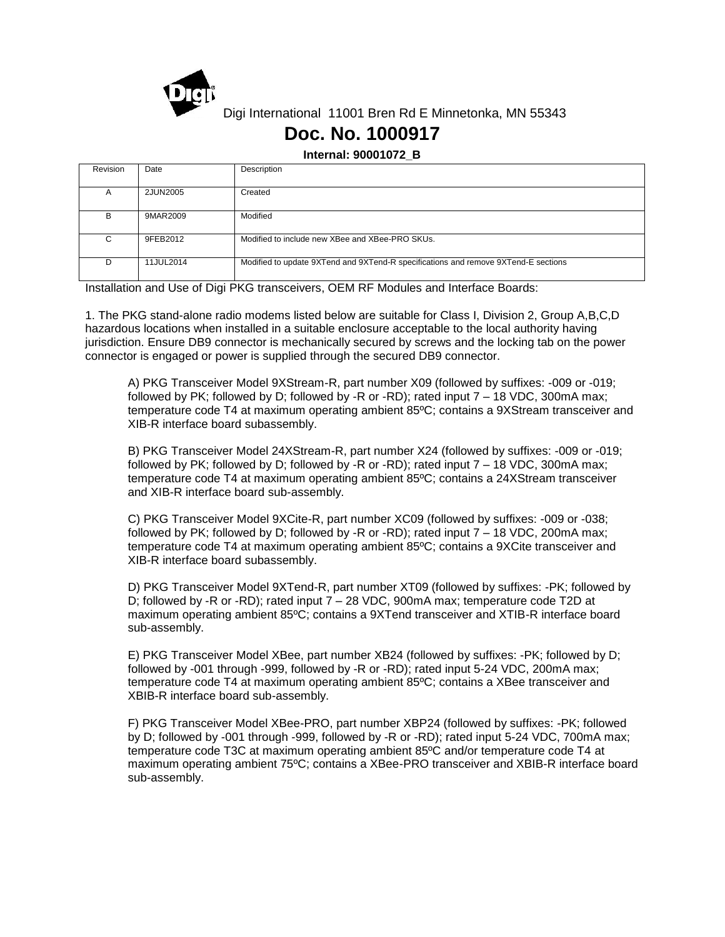

Digi International 11001 Bren Rd E Minnetonka, MN 55343

## **Doc. No. 1000917**

**Internal: 90001072\_B**

| Revision | Date      | Description                                                                        |
|----------|-----------|------------------------------------------------------------------------------------|
| A        | 2JUN2005  | Created                                                                            |
| В        | 9MAR2009  | Modified                                                                           |
| C        | 9FEB2012  | Modified to include new XBee and XBee-PRO SKUs.                                    |
| D        | 11JUL2014 | Modified to update 9XTend and 9XTend-R specifications and remove 9XTend-E sections |

Installation and Use of Digi PKG transceivers, OEM RF Modules and Interface Boards:

1. The PKG stand-alone radio modems listed below are suitable for Class I, Division 2, Group A,B,C,D hazardous locations when installed in a suitable enclosure acceptable to the local authority having jurisdiction. Ensure DB9 connector is mechanically secured by screws and the locking tab on the power connector is engaged or power is supplied through the secured DB9 connector.

A) PKG Transceiver Model 9XStream-R, part number X09 (followed by suffixes: -009 or -019; followed by PK; followed by D; followed by -R or -RD); rated input 7 – 18 VDC, 300mA max; temperature code T4 at maximum operating ambient 85ºC; contains a 9XStream transceiver and XIB-R interface board subassembly.

B) PKG Transceiver Model 24XStream-R, part number X24 (followed by suffixes: -009 or -019; followed by PK; followed by D; followed by -R or -RD); rated input 7 – 18 VDC, 300mA max; temperature code T4 at maximum operating ambient 85ºC; contains a 24XStream transceiver and XIB-R interface board sub-assembly.

C) PKG Transceiver Model 9XCite-R, part number XC09 (followed by suffixes: -009 or -038; followed by PK; followed by D; followed by -R or -RD); rated input 7 – 18 VDC, 200mA max; temperature code T4 at maximum operating ambient 85ºC; contains a 9XCite transceiver and XIB-R interface board subassembly.

D) PKG Transceiver Model 9XTend-R, part number XT09 (followed by suffixes: -PK; followed by D; followed by -R or -RD); rated input 7 – 28 VDC, 900mA max; temperature code T2D at maximum operating ambient 85ºC; contains a 9XTend transceiver and XTIB-R interface board sub-assembly.

E) PKG Transceiver Model XBee, part number XB24 (followed by suffixes: -PK; followed by D; followed by -001 through -999, followed by -R or -RD); rated input 5-24 VDC, 200mA max; temperature code T4 at maximum operating ambient 85ºC; contains a XBee transceiver and XBIB-R interface board sub-assembly.

F) PKG Transceiver Model XBee-PRO, part number XBP24 (followed by suffixes: -PK; followed by D; followed by -001 through -999, followed by -R or -RD); rated input 5-24 VDC, 700mA max; temperature code T3C at maximum operating ambient 85ºC and/or temperature code T4 at maximum operating ambient 75ºC; contains a XBee-PRO transceiver and XBIB-R interface board sub-assembly.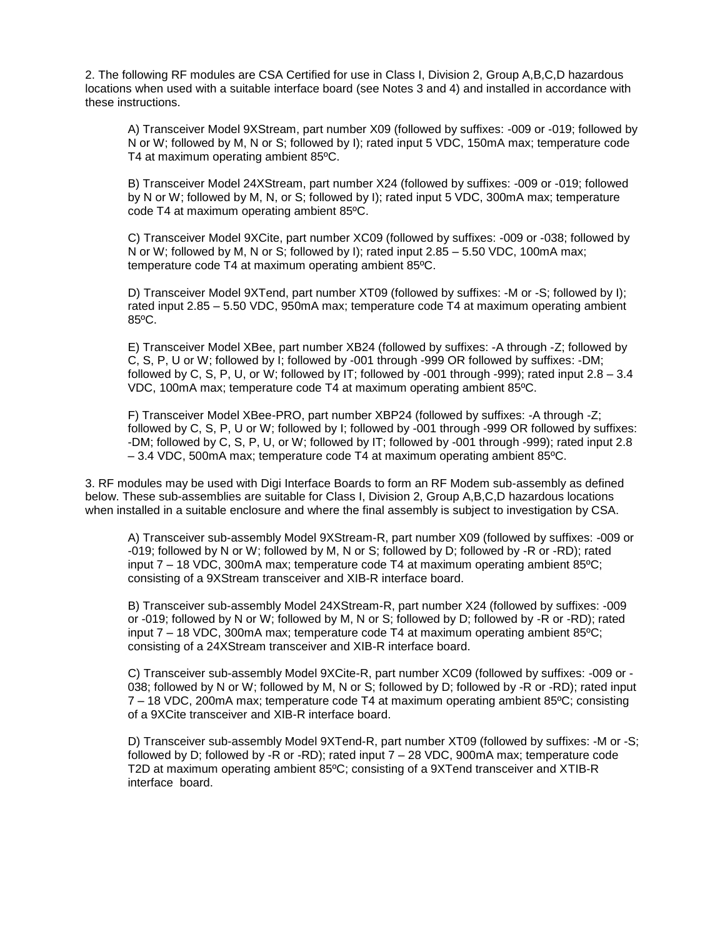2. The following RF modules are CSA Certified for use in Class I, Division 2, Group A,B,C,D hazardous locations when used with a suitable interface board (see Notes 3 and 4) and installed in accordance with these instructions.

A) Transceiver Model 9XStream, part number X09 (followed by suffixes: -009 or -019; followed by N or W; followed by M, N or S; followed by I); rated input 5 VDC, 150mA max; temperature code T4 at maximum operating ambient 85ºC.

B) Transceiver Model 24XStream, part number X24 (followed by suffixes: -009 or -019; followed by N or W; followed by M, N, or S; followed by I); rated input 5 VDC, 300mA max; temperature code T4 at maximum operating ambient 85ºC.

C) Transceiver Model 9XCite, part number XC09 (followed by suffixes: -009 or -038; followed by N or W; followed by M, N or S; followed by I); rated input 2.85 – 5.50 VDC, 100mA max; temperature code T4 at maximum operating ambient 85ºC.

D) Transceiver Model 9XTend, part number XT09 (followed by suffixes: -M or -S; followed by I); rated input 2.85 – 5.50 VDC, 950mA max; temperature code T4 at maximum operating ambient 85ºC.

E) Transceiver Model XBee, part number XB24 (followed by suffixes: -A through -Z; followed by C, S, P, U or W; followed by I; followed by -001 through -999 OR followed by suffixes: -DM; followed by C, S, P, U, or W; followed by IT; followed by -001 through -999); rated input 2.8 – 3.4 VDC, 100mA max; temperature code T4 at maximum operating ambient 85ºC.

F) Transceiver Model XBee-PRO, part number XBP24 (followed by suffixes: -A through -Z; followed by C, S, P, U or W; followed by I; followed by -001 through -999 OR followed by suffixes: -DM; followed by C, S, P, U, or W; followed by IT; followed by -001 through -999); rated input 2.8 – 3.4 VDC, 500mA max; temperature code T4 at maximum operating ambient 85ºC.

3. RF modules may be used with Digi Interface Boards to form an RF Modem sub-assembly as defined below. These sub-assemblies are suitable for Class I, Division 2, Group A,B,C,D hazardous locations when installed in a suitable enclosure and where the final assembly is subject to investigation by CSA.

A) Transceiver sub-assembly Model 9XStream-R, part number X09 (followed by suffixes: -009 or -019; followed by N or W; followed by M, N or S; followed by D; followed by -R or -RD); rated input  $7 - 18$  VDC, 300mA max; temperature code T4 at maximum operating ambient 85 $^{\circ}$ C; consisting of a 9XStream transceiver and XIB-R interface board.

B) Transceiver sub-assembly Model 24XStream-R, part number X24 (followed by suffixes: -009 or -019; followed by N or W; followed by M, N or S; followed by D; followed by -R or -RD); rated input 7 – 18 VDC, 300mA max; temperature code T4 at maximum operating ambient 85ºC; consisting of a 24XStream transceiver and XIB-R interface board.

C) Transceiver sub-assembly Model 9XCite-R, part number XC09 (followed by suffixes: -009 or - 038; followed by N or W; followed by M, N or S; followed by D; followed by -R or -RD); rated input 7 – 18 VDC, 200mA max; temperature code T4 at maximum operating ambient 85ºC; consisting of a 9XCite transceiver and XIB-R interface board.

D) Transceiver sub-assembly Model 9XTend-R, part number XT09 (followed by suffixes: -M or -S; followed by D; followed by -R or -RD); rated input 7 – 28 VDC, 900mA max; temperature code T2D at maximum operating ambient 85ºC; consisting of a 9XTend transceiver and XTIB-R interface board.